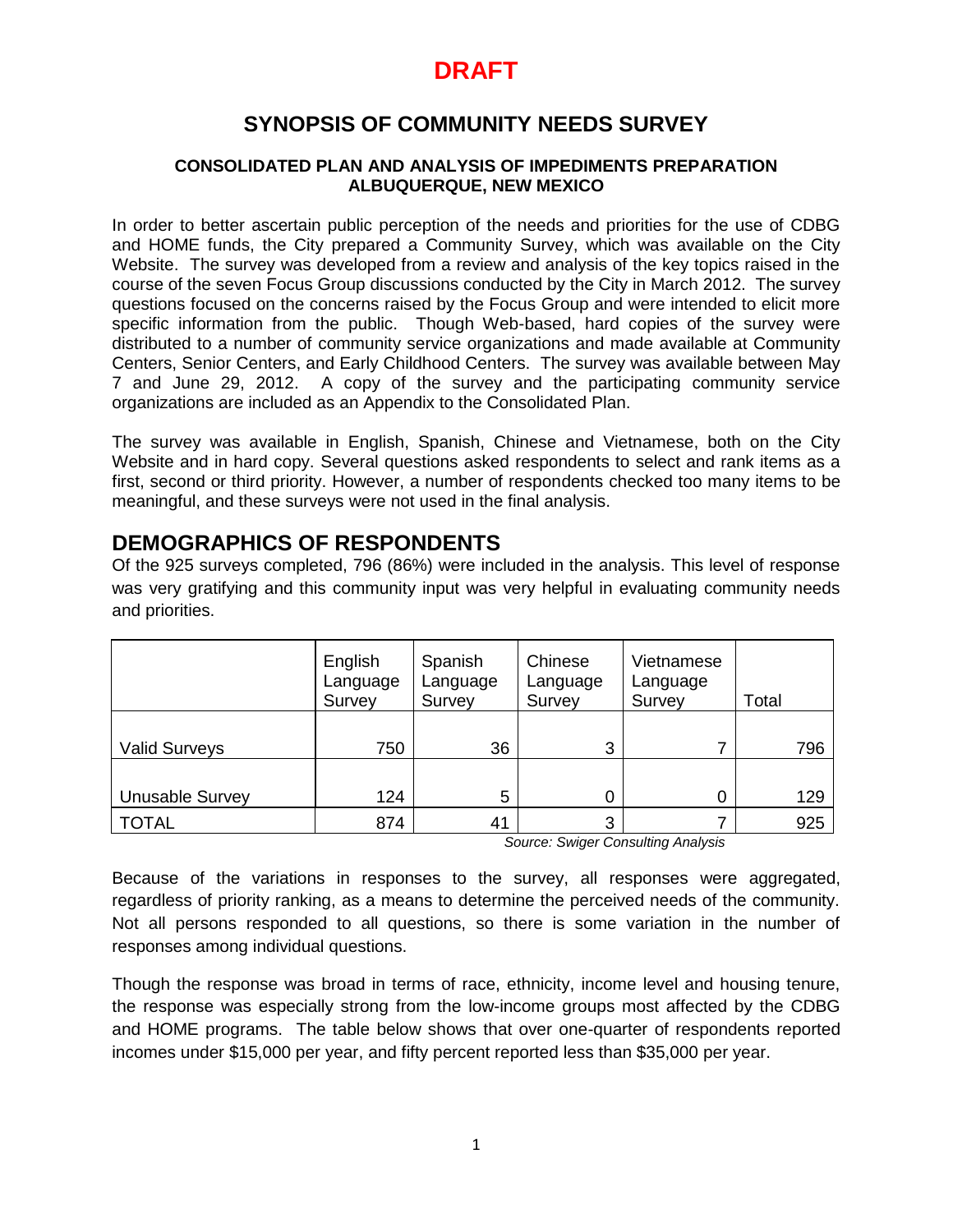## **SYNOPSIS OF COMMUNITY NEEDS SURVEY**

### **CONSOLIDATED PLAN AND ANALYSIS OF IMPEDIMENTS PREPARATION ALBUQUERQUE, NEW MEXICO**

In order to better ascertain public perception of the needs and priorities for the use of CDBG and HOME funds, the City prepared a Community Survey, which was available on the City Website. The survey was developed from a review and analysis of the key topics raised in the course of the seven Focus Group discussions conducted by the City in March 2012. The survey questions focused on the concerns raised by the Focus Group and were intended to elicit more specific information from the public. Though Web-based, hard copies of the survey were distributed to a number of community service organizations and made available at Community Centers, Senior Centers, and Early Childhood Centers. The survey was available between May 7 and June 29, 2012. A copy of the survey and the participating community service organizations are included as an Appendix to the Consolidated Plan.

The survey was available in English, Spanish, Chinese and Vietnamese, both on the City Website and in hard copy. Several questions asked respondents to select and rank items as a first, second or third priority. However, a number of respondents checked too many items to be meaningful, and these surveys were not used in the final analysis.

### **DEMOGRAPHICS OF RESPONDENTS**

Of the 925 surveys completed, 796 (86%) were included in the analysis. This level of response was very gratifying and this community input was very helpful in evaluating community needs and priorities.

|                        | English<br>Language<br>Survey | Spanish<br>Language<br>Survey | Chinese<br>Language<br>Survey | Vietnamese<br>Language<br>Survey | Total |     |
|------------------------|-------------------------------|-------------------------------|-------------------------------|----------------------------------|-------|-----|
| <b>Valid Surveys</b>   | 750                           | 36                            | 3                             |                                  |       | 796 |
| <b>Unusable Survey</b> | 124                           | 5                             |                               |                                  |       | 129 |
| <b>TOTAL</b>           | 874                           | 41                            | 3                             |                                  |       | 925 |

*Source: Swiger Consulting Analysis*

Because of the variations in responses to the survey, all responses were aggregated, regardless of priority ranking, as a means to determine the perceived needs of the community. Not all persons responded to all questions, so there is some variation in the number of responses among individual questions.

Though the response was broad in terms of race, ethnicity, income level and housing tenure, the response was especially strong from the low-income groups most affected by the CDBG and HOME programs. The table below shows that over one-quarter of respondents reported incomes under \$15,000 per year, and fifty percent reported less than \$35,000 per year.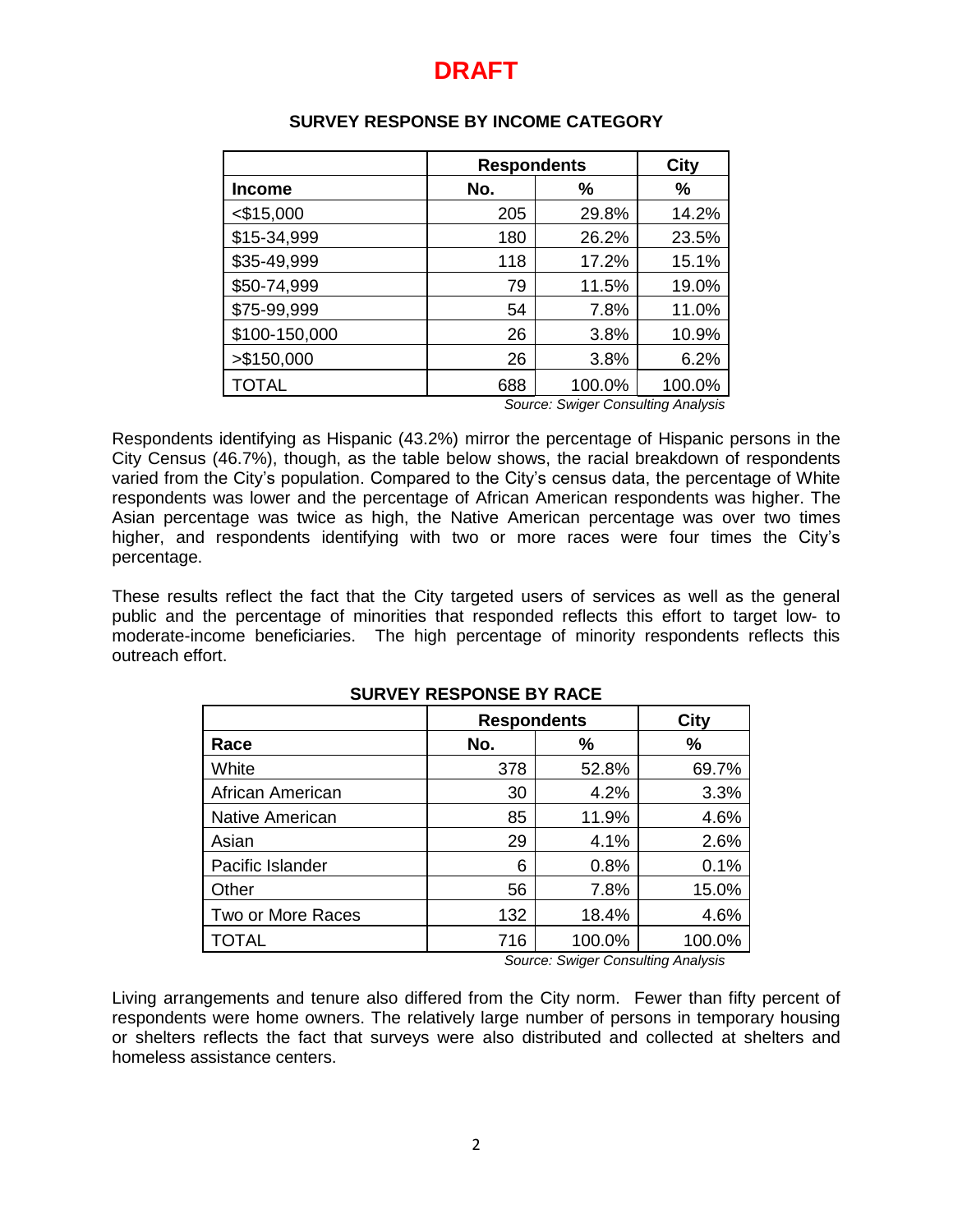|                                    | <b>Respondents</b> | City   |        |
|------------------------------------|--------------------|--------|--------|
| <b>Income</b>                      | No.                | %      | %      |
| $<$ \$15,000                       | 205                | 29.8%  | 14.2%  |
| \$15-34,999                        | 180                | 26.2%  | 23.5%  |
| \$35-49,999                        | 118                | 17.2%  | 15.1%  |
| \$50-74,999                        | 79                 | 11.5%  | 19.0%  |
| \$75-99,999                        | 54                 | 7.8%   | 11.0%  |
| \$100-150,000                      | 26                 | 3.8%   | 10.9%  |
| > \$150,000                        | 26                 | 3.8%   | 6.2%   |
| <b>TOTAL</b>                       | 688                | 100.0% | 100.0% |
| Source: Swiger Consulting Analysis |                    |        |        |

### **SURVEY RESPONSE BY INCOME CATEGORY**

Respondents identifying as Hispanic (43.2%) mirror the percentage of Hispanic persons in the City Census (46.7%), though, as the table below shows, the racial breakdown of respondents varied from the City's population. Compared to the City's census data, the percentage of White respondents was lower and the percentage of African American respondents was higher. The Asian percentage was twice as high, the Native American percentage was over two times higher, and respondents identifying with two or more races were four times the City's percentage.

These results reflect the fact that the City targeted users of services as well as the general public and the percentage of minorities that responded reflects this effort to target low- to moderate-income beneficiaries. The high percentage of minority respondents reflects this outreach effort.

|                        | <b>Respondents</b> | City   |        |
|------------------------|--------------------|--------|--------|
| Race                   | No.                | %      | %      |
| White                  | 378                | 52.8%  | 69.7%  |
| African American       | 30                 | 4.2%   | 3.3%   |
| <b>Native American</b> | 85                 | 11.9%  | 4.6%   |
| Asian                  | 29                 | 4.1%   | 2.6%   |
| Pacific Islander       | 6                  | 0.8%   | 0.1%   |
| Other                  | 56                 | 7.8%   | 15.0%  |
| Two or More Races      | 132                | 18.4%  | 4.6%   |
| <b>TOTAL</b>           | 716                | 100.0% | 100.0% |

### **SURVEY RESPONSE BY RACE**

*Source: Swiger Consulting Analysis*

Living arrangements and tenure also differed from the City norm. Fewer than fifty percent of respondents were home owners. The relatively large number of persons in temporary housing or shelters reflects the fact that surveys were also distributed and collected at shelters and homeless assistance centers.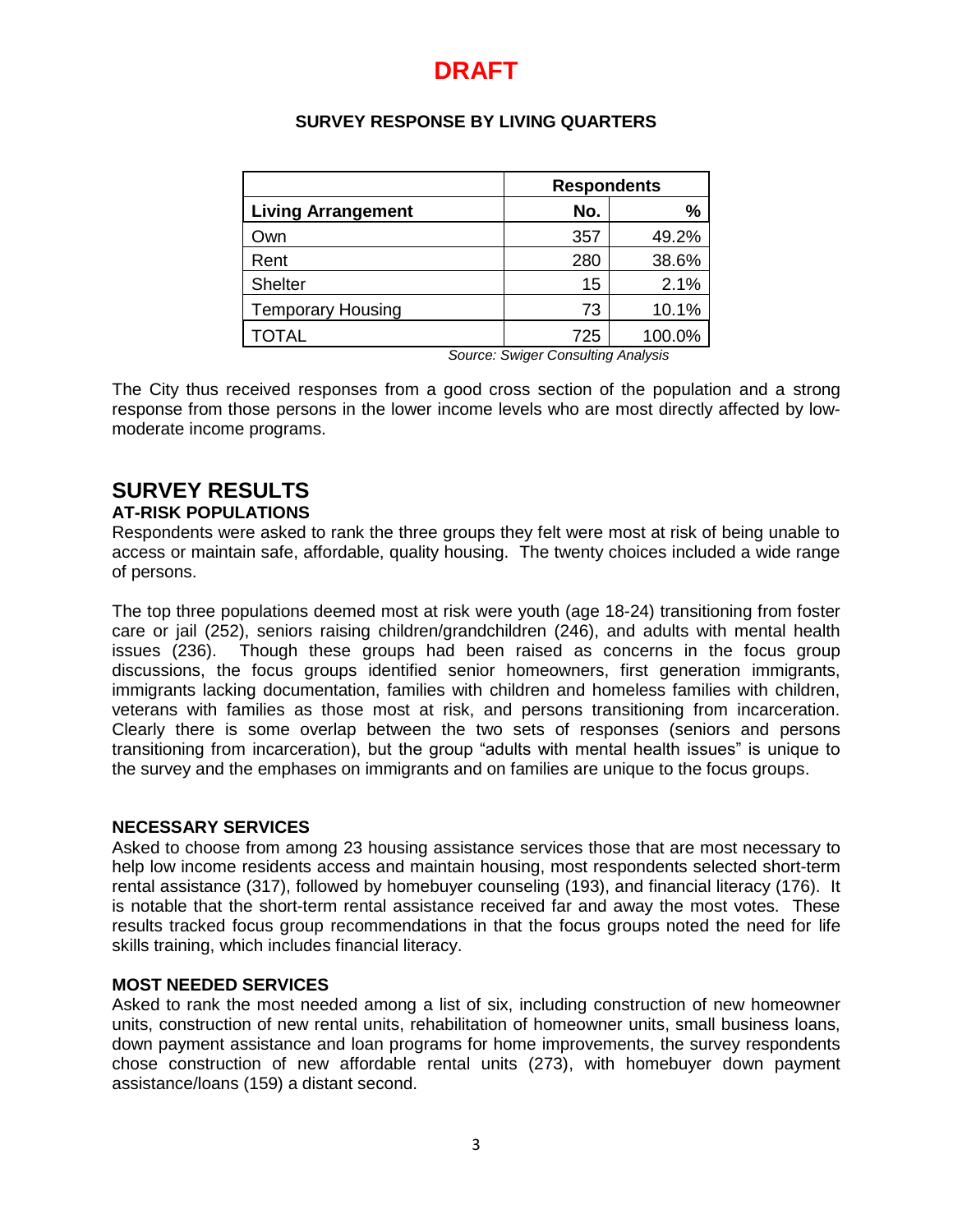### **SURVEY RESPONSE BY LIVING QUARTERS**

|                           | <b>Respondents</b> |        |  |
|---------------------------|--------------------|--------|--|
| <b>Living Arrangement</b> | No.                | %      |  |
| Own                       | 357                | 49.2%  |  |
| Rent                      | 280                | 38.6%  |  |
| <b>Shelter</b>            | 15                 | 2.1%   |  |
| <b>Temporary Housing</b>  | 73                 | 10.1%  |  |
| TOTAL                     | 725                | 100.0% |  |

*Source: Swiger Consulting Analysis*

The City thus received responses from a good cross section of the population and a strong response from those persons in the lower income levels who are most directly affected by lowmoderate income programs.

# **SURVEY RESULTS**

**AT-RISK POPULATIONS**

Respondents were asked to rank the three groups they felt were most at risk of being unable to access or maintain safe, affordable, quality housing. The twenty choices included a wide range of persons.

The top three populations deemed most at risk were youth (age 18-24) transitioning from foster care or jail (252), seniors raising children/grandchildren (246), and adults with mental health issues (236). Though these groups had been raised as concerns in the focus group discussions, the focus groups identified senior homeowners, first generation immigrants, immigrants lacking documentation, families with children and homeless families with children, veterans with families as those most at risk, and persons transitioning from incarceration. Clearly there is some overlap between the two sets of responses (seniors and persons transitioning from incarceration), but the group "adults with mental health issues" is unique to the survey and the emphases on immigrants and on families are unique to the focus groups.

### **NECESSARY SERVICES**

Asked to choose from among 23 housing assistance services those that are most necessary to help low income residents access and maintain housing, most respondents selected short-term rental assistance (317), followed by homebuyer counseling (193), and financial literacy (176). It is notable that the short-term rental assistance received far and away the most votes. These results tracked focus group recommendations in that the focus groups noted the need for life skills training, which includes financial literacy.

### **MOST NEEDED SERVICES**

Asked to rank the most needed among a list of six, including construction of new homeowner units, construction of new rental units, rehabilitation of homeowner units, small business loans, down payment assistance and loan programs for home improvements, the survey respondents chose construction of new affordable rental units (273), with homebuyer down payment assistance/loans (159) a distant second.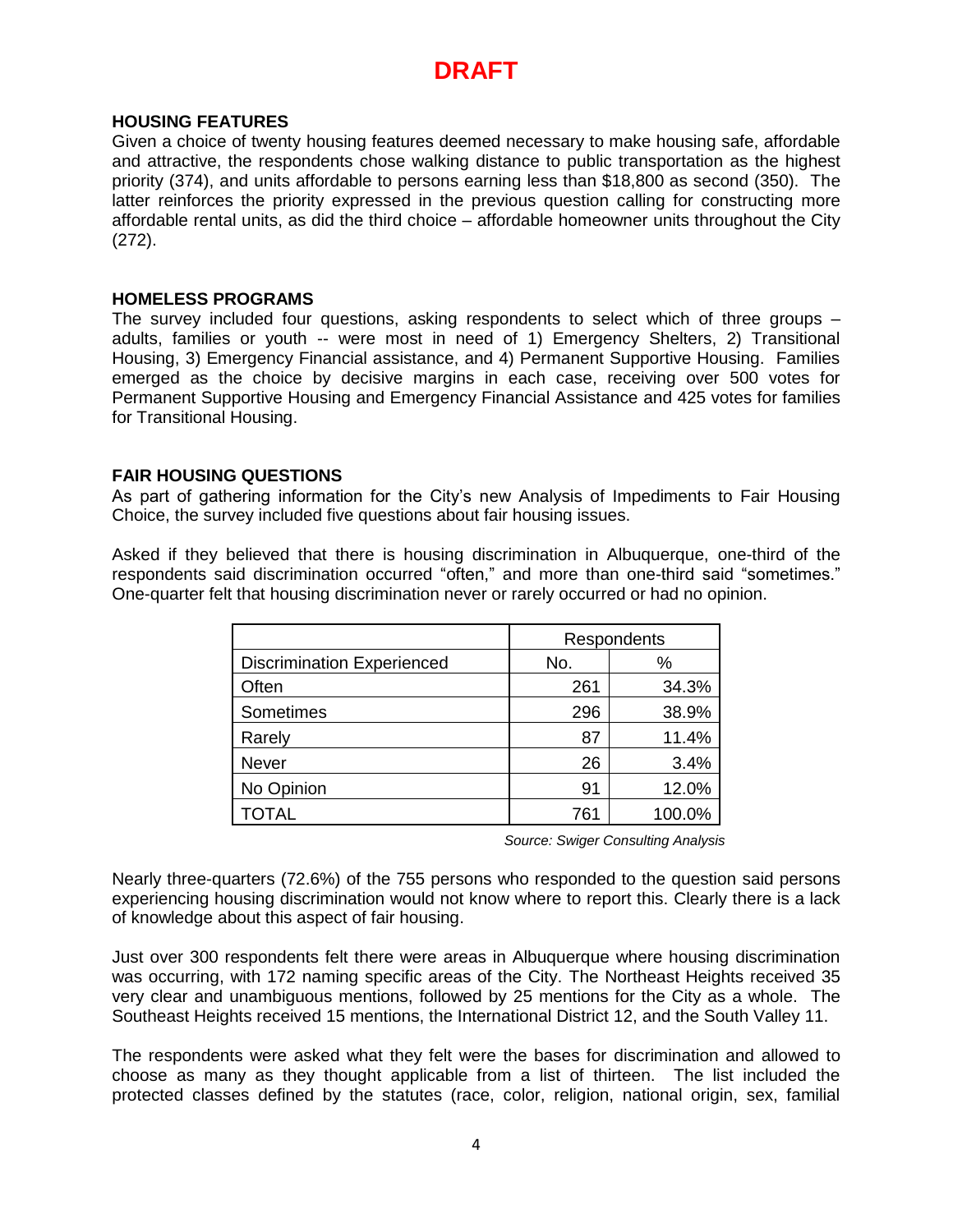### **HOUSING FEATURES**

Given a choice of twenty housing features deemed necessary to make housing safe, affordable and attractive, the respondents chose walking distance to public transportation as the highest priority (374), and units affordable to persons earning less than \$18,800 as second (350). The latter reinforces the priority expressed in the previous question calling for constructing more affordable rental units, as did the third choice – affordable homeowner units throughout the City (272).

### **HOMELESS PROGRAMS**

The survey included four questions, asking respondents to select which of three groups – adults, families or youth -- were most in need of 1) Emergency Shelters, 2) Transitional Housing, 3) Emergency Financial assistance, and 4) Permanent Supportive Housing. Families emerged as the choice by decisive margins in each case, receiving over 500 votes for Permanent Supportive Housing and Emergency Financial Assistance and 425 votes for families for Transitional Housing.

### **FAIR HOUSING QUESTIONS**

As part of gathering information for the City's new Analysis of Impediments to Fair Housing Choice, the survey included five questions about fair housing issues.

Asked if they believed that there is housing discrimination in Albuquerque, one-third of the respondents said discrimination occurred "often," and more than one-third said "sometimes." One-quarter felt that housing discrimination never or rarely occurred or had no opinion.

|                                   | Respondents |        |  |
|-----------------------------------|-------------|--------|--|
| <b>Discrimination Experienced</b> | No.         | $\%$   |  |
| Often                             | 261         | 34.3%  |  |
| Sometimes                         | 296         | 38.9%  |  |
| Rarely                            | 87          | 11.4%  |  |
| <b>Never</b>                      | 26          | 3.4%   |  |
| No Opinion                        | 91          | 12.0%  |  |
| <b>TOTAL</b>                      | 761         | 100.0% |  |

*Source: Swiger Consulting Analysis*

Nearly three-quarters (72.6%) of the 755 persons who responded to the question said persons experiencing housing discrimination would not know where to report this. Clearly there is a lack of knowledge about this aspect of fair housing.

Just over 300 respondents felt there were areas in Albuquerque where housing discrimination was occurring, with 172 naming specific areas of the City. The Northeast Heights received 35 very clear and unambiguous mentions, followed by 25 mentions for the City as a whole. The Southeast Heights received 15 mentions, the International District 12, and the South Valley 11.

The respondents were asked what they felt were the bases for discrimination and allowed to choose as many as they thought applicable from a list of thirteen. The list included the protected classes defined by the statutes (race, color, religion, national origin, sex, familial